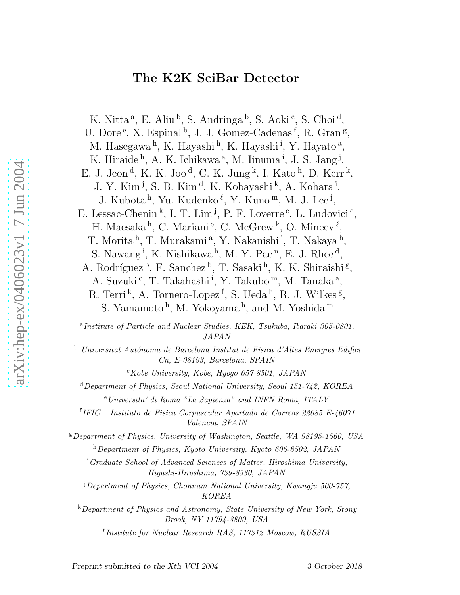# The K2K SciBar Detector

K. Nitta<sup>a</sup>, E. Aliu<sup>b</sup>, S. Andringa<sup>b</sup>, S. Aoki<sup>c</sup>, S. Choi<sup>d</sup>, U. Dore<sup>e</sup>, X. Espinal<sup>b</sup>, J. J. Gomez-Cadenas<sup>f</sup>, R. Gran<sup>g</sup>, M. Hasegawa<sup>h</sup>, K. Hayashi<sup>h</sup>, K. Hayashi<sup>i</sup>, Y. Hayato<sup>a</sup>, K. Hiraide<sup>h</sup>, A. K. Ichikawa<sup>a</sup>, M. Iinuma<sup>i</sup>, J. S. Jang<sup>j</sup>, E. J. Jeon<sup>d</sup>, K. K. Joo<sup>d</sup>, C. K. Jung<sup>k</sup>, I. Kato<sup>h</sup>, D. Kerr<sup>k</sup>, J. Y. Kim<sup>j</sup>, S. B. Kim<sup>d</sup>, K. Kobayashi<sup>k</sup>, A. Kohara<sup>i</sup>, J. Kubota<sup>h</sup>, Yu. Kudenko<sup>l</sup>, Y. Kuno<sup>m</sup>, M. J. Lee<sup>j</sup>, E. Lessac-Chenin<sup>k</sup>, I. T. Lim<sup>j</sup>, P. F. Loverre<sup>e</sup>, L. Ludovici<sup>e</sup>, H. Maesaka<sup>h</sup>, C. Mariani<sup>e</sup>, C. McGrew<sup>k</sup>, O. Mineev<sup> $\ell$ </sup>, T. Morita<sup>h</sup>, T. Murakami<sup>a</sup>, Y. Nakanishi<sup>i</sup>, T. Nakaya<sup>h</sup>, S. Nawang<sup>i</sup>, K. Nishikawa<sup>h</sup>, M. Y. Pac<sup>n</sup>, E. J. Rhee<sup>d</sup>, A. Rodríguez<sup>b</sup>, F. Sanchez<sup>b</sup>, T. Sasaki<sup>h</sup>, K. K. Shiraishi<sup>g</sup>, A. Suzuki<sup>c</sup>, T. Takahashi<sup>i</sup>, Y. Takubo<sup>m</sup>, M. Tanaka<sup>a</sup>, R. Terri<sup>k</sup>, A. Tornero-Lopez<sup>f</sup>, S. Ueda<sup>h</sup>, R. J. Wilkes<sup>g</sup>, S. Yamamoto<sup>h</sup>, M. Yokoyama<sup>h</sup>, and M. Yoshida<sup>m</sup>

<sup>a</sup>Institute of Particle and Nuclear Studies, KEK, Tsukuba, Ibaraki 305-0801, JAPAN

 $b$  Universitat Autónoma de Barcelona Institut de Física d'Altes Energies Edifici Cn, E-08193, Barcelona, SPAIN

 $c$ Kobe University, Kobe, Hyogo 657-8501, JAPAN

 $d$ Department of Physics, Seoul National University, Seoul 151-742, KOREA <sup>e</sup>Universita' di Roma "La Sapienza" and INFN Roma, ITALY

f IFIC – Instituto de Fisica Corpuscular Apartado de Correos 22085 E-46071 Valencia, SPAIN

<sup>g</sup>Department of Physics, University of Washington, Seattle, WA 98195-1560, USA <sup>h</sup>Department of Physics, Kyoto University, Kyoto 606-8502, JAPAN

<sup>i</sup>Graduate School of Advanced Sciences of Matter, Hiroshima University, Higashi-Hiroshima, 739-8530, JAPAN

<sup>j</sup>Department of Physics, Chonnam National University, Kwangju 500-757, KOREA

<sup>k</sup>Department of Physics and Astronomy, State University of New York, Stony Brook, NY 11794-3800, USA

 $\ell$ Institute for Nuclear Research RAS, 117312 Moscow, RUSSIA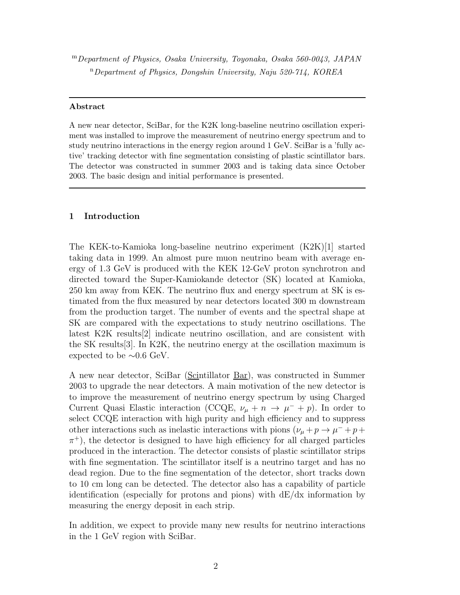<sup>m</sup>Department of Physics, Osaka University, Toyonaka, Osaka 560-0043, JAPAN <sup>n</sup>Department of Physics, Dongshin University, Naju 520-714, KOREA

#### Abstract

A new near detector, SciBar, for the K2K long-baseline neutrino oscillation experiment was installed to improve the measurement of neutrino energy spectrum and to study neutrino interactions in the energy region around 1 GeV. SciBar is a 'fully active' tracking detector with fine segmentation consisting of plastic scintillator bars. The detector was constructed in summer 2003 and is taking data since October 2003. The basic design and initial performance is presented.

## 1 Introduction

The KEK-to-Kamioka long-baseline neutrino experiment (K2K)[1] started taking data in 1999. An almost pure muon neutrino beam with average energy of 1.3 GeV is produced with the KEK 12-GeV proton synchrotron and directed toward the Super-Kamiokande detector (SK) located at Kamioka, 250 km away from KEK. The neutrino flux and energy spectrum at SK is estimated from the flux measured by near detectors located 300 m downstream from the production target. The number of events and the spectral shape at SK are compared with the expectations to study neutrino oscillations. The latest K2K results[2] indicate neutrino oscillation, and are consistent with the SK results[3]. In K2K, the neutrino energy at the oscillation maximum is expected to be  $\sim 0.6$  GeV.

A new near detector, SciBar (Scintillator Bar), was constructed in Summer 2003 to upgrade the near detectors. A main motivation of the new detector is to improve the measurement of neutrino energy spectrum by using Charged Current Quasi Elastic interaction (CCQE,  $\nu_{\mu} + n \rightarrow \mu^{-} + p$ ). In order to select CCQE interaction with high purity and high efficiency and to suppress other interactions such as inelastic interactions with pions  $(\nu_{\mu} + p \rightarrow \mu^{-} + p +$  $\pi$ <sup>+</sup>), the detector is designed to have high efficiency for all charged particles produced in the interaction. The detector consists of plastic scintillator strips with fine segmentation. The scintillator itself is a neutrino target and has no dead region. Due to the fine segmentation of the detector, short tracks down to 10 cm long can be detected. The detector also has a capability of particle identification (especially for protons and pions) with dE/dx information by measuring the energy deposit in each strip.

In addition, we expect to provide many new results for neutrino interactions in the 1 GeV region with SciBar.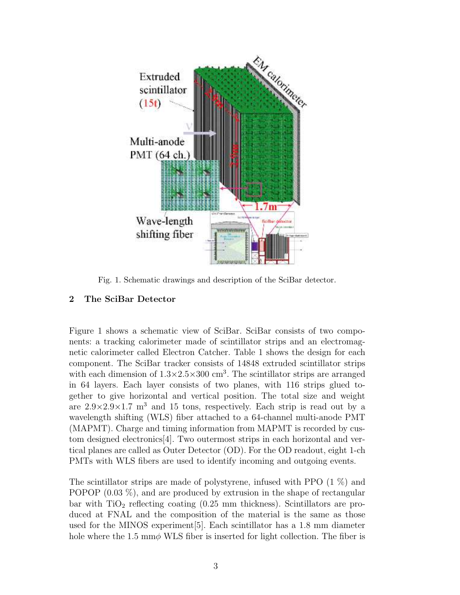

Fig. 1. Schematic drawings and description of the SciBar detector.

# 2 The SciBar Detector

Figure 1 shows a schematic view of SciBar. SciBar consists of two components: a tracking calorimeter made of scintillator strips and an electromagnetic calorimeter called Electron Catcher. Table 1 shows the design for each component. The SciBar tracker consists of 14848 extruded scintillator strips with each dimension of  $1.3 \times 2.5 \times 300$  cm<sup>3</sup>. The scintillator strips are arranged in 64 layers. Each layer consists of two planes, with 116 strips glued together to give horizontal and vertical position. The total size and weight are  $2.9 \times 2.9 \times 1.7$  m<sup>3</sup> and 15 tons, respectively. Each strip is read out by a wavelength shifting (WLS) fiber attached to a 64-channel multi-anode PMT (MAPMT). Charge and timing information from MAPMT is recorded by custom designed electronics[4]. Two outermost strips in each horizontal and vertical planes are called as Outer Detector (OD). For the OD readout, eight 1-ch PMTs with WLS fibers are used to identify incoming and outgoing events.

The scintillator strips are made of polystyrene, infused with PPO (1 %) and POPOP  $(0.03\%)$ , and are produced by extrusion in the shape of rectangular bar with  $TiO<sub>2</sub>$  reflecting coating  $(0.25 \text{ mm thickness})$ . Scintillators are produced at FNAL and the composition of the material is the same as those used for the MINOS experiment[5]. Each scintillator has a 1.8 mm diameter hole where the 1.5 mm $\phi$  WLS fiber is inserted for light collection. The fiber is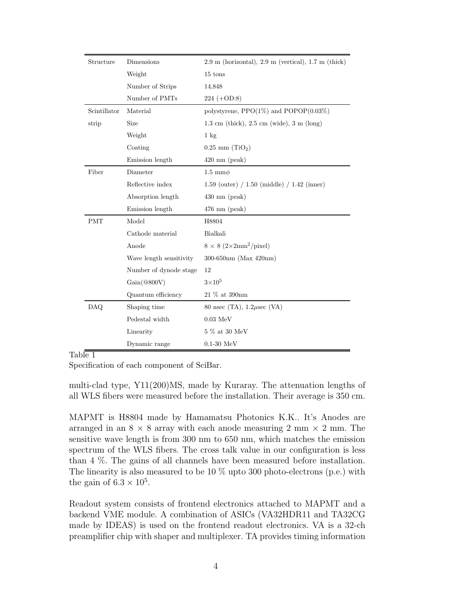| Structure    | Dimensions              | $2.9 \text{ m}$ (horizontal), $2.9 \text{ m}$ (vertical), $1.7 \text{ m}$ (thick) |
|--------------|-------------------------|-----------------------------------------------------------------------------------|
|              | Weight                  | 15 tons                                                                           |
|              | Number of Strips        | 14,848                                                                            |
|              | Number of PMTs          | $224 (+OD:8)$                                                                     |
| Scintillator | Material                | polystyrene, $\text{PPO}(1\%)$ and $\text{POPOP}(0.03\%)$                         |
| strip        | Size                    | $1.3 \text{ cm}$ (thick), $2.5 \text{ cm}$ (wide), $3 \text{ m}$ (long)           |
|              | Weight                  | $1 \text{ kg}$                                                                    |
|              | Coating                 | $0.25$ mm $(TiO2)$                                                                |
|              | Emission length         | $420 \text{ nm}$ (peak)                                                           |
| Fiber        | Diameter                | $1.5 \text{ mm} \phi$                                                             |
|              | Reflective index        | $1.59$ (outer) / $1.50$ (middle) / $1.42$ (inner)                                 |
|              | Absorption length       | $430 \text{ nm}$ (peak)                                                           |
|              | Emission length         | $476 \text{ nm}$ (peak)                                                           |
| <b>PMT</b>   | Model                   | H8804                                                                             |
|              | Cathode material        | Bialkali                                                                          |
|              | Anode                   | $8 \times 8 (2 \times 2 \text{mm}^2/\text{pixel})$                                |
|              | Wave length sensitivity | 300-650nm (Max 420nm)                                                             |
|              | Number of dynode stage  | 12                                                                                |
|              | Gain(@800V)             | $3{\times}10^5$                                                                   |
|              | Quantum efficiency      | 21 % at 390nm                                                                     |
| DAQ          | Shaping time            | 80 nsec (TA), $1.2\mu$ sec (VA)                                                   |
|              | Pedestal width          | $0.03\ \mathrm{MeV}$                                                              |
|              | Linearity               | $5~\%$ at $30~\rm{MeV}$                                                           |
|              | Dynamic range           | $0.1-30$ MeV                                                                      |

Table 1

Specification of each component of SciBar.

multi-clad type, Y11(200)MS, made by Kuraray. The attenuation lengths of all WLS fibers were measured before the installation. Their average is 350 cm.

MAPMT is H8804 made by Hamamatsu Photonics K.K.. It's Anodes are arranged in an  $8 \times 8$  array with each anode measuring 2 mm  $\times$  2 mm. The sensitive wave length is from 300 nm to 650 nm, which matches the emission spectrum of the WLS fibers. The cross talk value in our configuration is less than 4 %. The gains of all channels have been measured before installation. The linearity is also measured to be 10  $\%$  upto 300 photo-electrons (p.e.) with the gain of  $6.3 \times 10^5$ .

Readout system consists of frontend electronics attached to MAPMT and a backend VME module. A combination of ASICs (VA32HDR11 and TA32CG made by IDEAS) is used on the frontend readout electronics. VA is a 32-ch preamplifier chip with shaper and multiplexer. TA provides timing information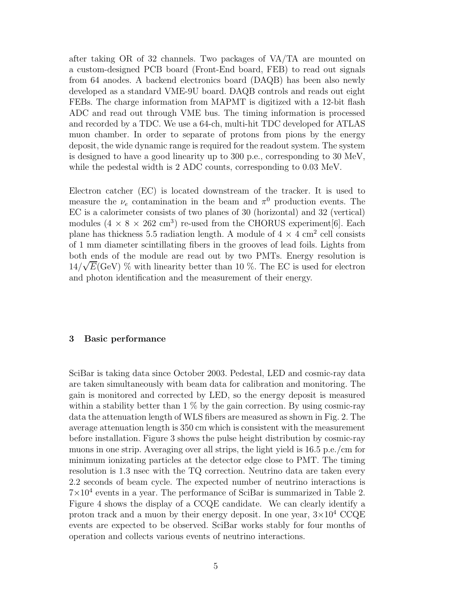after taking OR of 32 channels. Two packages of VA/TA are mounted on a custom-designed PCB board (Front-End board, FEB) to read out signals from 64 anodes. A backend electronics board (DAQB) has been also newly developed as a standard VME-9U board. DAQB controls and reads out eight FEBs. The charge information from MAPMT is digitized with a 12-bit flash ADC and read out through VME bus. The timing information is processed and recorded by a TDC. We use a 64-ch, multi-hit TDC developed for ATLAS muon chamber. In order to separate of protons from pions by the energy deposit, the wide dynamic range is required for the readout system. The system is designed to have a good linearity up to 300 p.e., corresponding to 30 MeV, while the pedestal width is 2 ADC counts, corresponding to 0.03 MeV.

Electron catcher (EC) is located downstream of the tracker. It is used to measure the  $\nu_e$  contamination in the beam and  $\pi^0$  production events. The EC is a calorimeter consists of two planes of 30 (horizontal) and 32 (vertical) modules  $(4 \times 8 \times 262 \text{ cm}^3)$  re-used from the CHORUS experiment [6]. Each plane has thickness 5.5 radiation length. A module of  $4 \times 4$  cm<sup>2</sup> cell consists of 1 mm diameter scintillating fibers in the grooves of lead foils. Lights from both ends of the module are read out by two PMTs. Energy resolution is  $14/\sqrt{E}$ (GeV) % with linearity better than 10 %. The EC is used for electron and photon identification and the measurement of their energy.

#### 3 Basic performance

SciBar is taking data since October 2003. Pedestal, LED and cosmic-ray data are taken simultaneously with beam data for calibration and monitoring. The gain is monitored and corrected by LED, so the energy deposit is measured within a stability better than  $1\%$  by the gain correction. By using cosmic-ray data the attenuation length of WLS fibers are measured as shown in Fig. 2. The average attenuation length is 350 cm which is consistent with the measurement before installation. Figure 3 shows the pulse height distribution by cosmic-ray muons in one strip. Averaging over all strips, the light yield is 16.5 p.e./cm for minimum ionizating particles at the detector edge close to PMT. The timing resolution is 1.3 nsec with the TQ correction. Neutrino data are taken every 2.2 seconds of beam cycle. The expected number of neutrino interactions is  $7 \times 10^4$  events in a year. The performance of SciBar is summarized in Table 2. Figure 4 shows the display of a CCQE candidate. We can clearly identify a proton track and a muon by their energy deposit. In one year,  $3\times10^4$  CCQE events are expected to be observed. SciBar works stably for four months of operation and collects various events of neutrino interactions.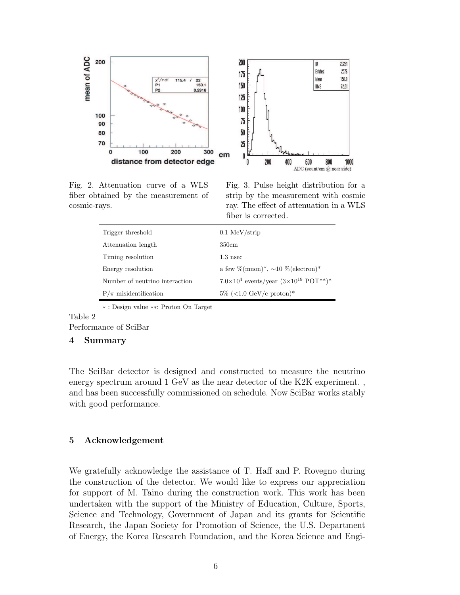

Fig. 2. Attenuation curve of a WLS fiber obtained by the measurement of cosmic-rays.

Fig. 3. Pulse height distribution for a strip by the measurement with cosmic ray. The effect of attenuation in a WLS fiber is corrected.

| Trigger threshold              | $0.1 \text{ MeV}/\text{strip}$                                  |
|--------------------------------|-----------------------------------------------------------------|
| Attenuation length             | 350cm                                                           |
| Timing resolution              | $1.3$ nsec                                                      |
| Energy resolution              | a few %(muon) <sup>*</sup> , $\sim 10$ %(electron) <sup>*</sup> |
| Number of neutrino interaction | $7.0\times10^4$ events/year $(3\times10^{19}$ POT**)*           |
| $P/\pi$ misidentification      | $5\%$ (<1.0 GeV/c proton)*                                      |
|                                |                                                                 |

∗ : Design value ∗∗: Proton On Target

# Table 2

Performance of SciBar

#### 4 Summary

The SciBar detector is designed and constructed to measure the neutrino energy spectrum around 1 GeV as the near detector of the K2K experiment. , and has been successfully commissioned on schedule. Now SciBar works stably with good performance.

#### 5 Acknowledgement

We gratefully acknowledge the assistance of T. Haff and P. Rovegno during the construction of the detector. We would like to express our appreciation for support of M. Taino during the construction work. This work has been undertaken with the support of the Ministry of Education, Culture, Sports, Science and Technology, Government of Japan and its grants for Scientific Research, the Japan Society for Promotion of Science, the U.S. Department of Energy, the Korea Research Foundation, and the Korea Science and Engi-